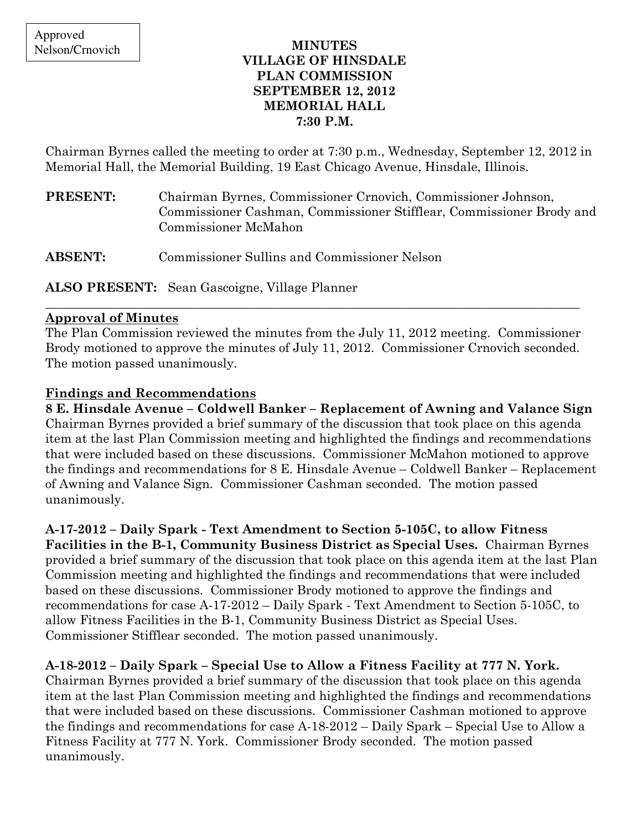### MINUTES VILLAGE OF HINSDALE PLAN COMMISSION SEPTEMBER 12, 2012 MEMORIAL HALL 7:30 P.M.

Chairman Byrnes called the meeting to order at 7:30 p.m., Wednesday, September 12, 2012 in Memorial Hall, the Memorial Building, 19 East Chicago Avenue, Hinsdale, Illinois.

| <b>PRESENT:</b> | Chairman Byrnes, Commissioner Crnovich, Commissioner Johnson,        |
|-----------------|----------------------------------------------------------------------|
|                 | Commissioner Cashman, Commissioner Stifflear, Commissioner Brody and |
|                 | Commissioner McMahon                                                 |
|                 |                                                                      |

ABSENT: Commissioner Sullins and Commissioner Nelson

ALSO PRESENT: Sean Gascoigne, Village Planner

### Approval of Minutes

The Plan Commission reviewed the minutes from the July 11, 2012 meeting. Commissioner Brody motioned to approve the minutes of July 11, 2012. Commissioner Crnovich seconded. The motion passed unanimously.

\_\_\_\_\_\_\_\_\_\_\_\_\_\_\_\_\_\_\_\_\_\_\_\_\_\_\_\_\_\_\_\_\_\_\_\_\_\_\_\_\_\_\_\_\_\_\_\_\_\_\_\_\_\_\_\_\_\_\_\_\_\_\_\_\_\_\_\_\_\_\_\_\_\_\_\_\_\_\_\_\_\_\_\_\_

## Findings and Recommendations

8 E. Hinsdale Avenue – Coldwell Banker – Replacement of Awning and Valance Sign Chairman Byrnes provided a brief summary of the discussion that took place on this agenda item at the last Plan Commission meeting and highlighted the findings and recommendations that were included based on these discussions. Commissioner McMahon motioned to approve the findings and recommendations for 8 E. Hinsdale Avenue – Coldwell Banker – Replacement of Awning and Valance Sign. Commissioner Cashman seconded. The motion passed unanimously.

# A-17-2012 – Daily Spark - Text Amendment to Section 5-105C, to allow Fitness

Facilities in the B-1, Community Business District as Special Uses. Chairman Byrnes provided a brief summary of the discussion that took place on this agenda item at the last Plan Commission meeting and highlighted the findings and recommendations that were included based on these discussions. Commissioner Brody motioned to approve the findings and recommendations for case A-17-2012 – Daily Spark - Text Amendment to Section 5-105C, to allow Fitness Facilities in the B-1, Community Business District as Special Uses. Commissioner Stifflear seconded. The motion passed unanimously.

# A-18-2012 – Daily Spark – Special Use to Allow a Fitness Facility at 777 N. York.

Chairman Byrnes provided a brief summary of the discussion that took place on this agenda item at the last Plan Commission meeting and highlighted the findings and recommendations that were included based on these discussions. Commissioner Cashman motioned to approve the findings and recommendations for case A-18-2012 – Daily Spark – Special Use to Allow a Fitness Facility at 777 N. York. Commissioner Brody seconded. The motion passed unanimously.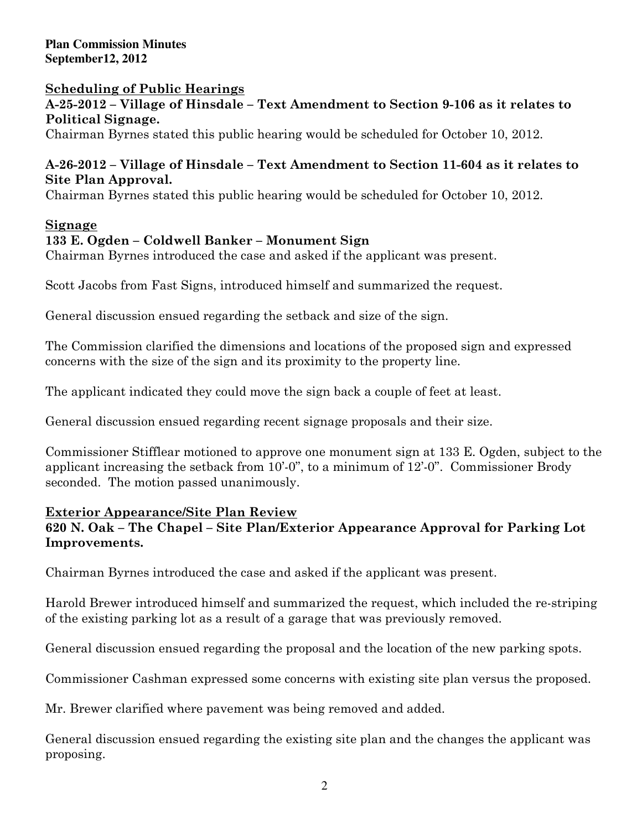**Plan Commission Minutes September12, 2012** 

### Scheduling of Public Hearings

A-25-2012 – Village of Hinsdale – Text Amendment to Section 9-106 as it relates to Political Signage.

Chairman Byrnes stated this public hearing would be scheduled for October 10, 2012.

### A-26-2012 – Village of Hinsdale – Text Amendment to Section 11-604 as it relates to Site Plan Approval.

Chairman Byrnes stated this public hearing would be scheduled for October 10, 2012.

#### Signage

#### 133 E. Ogden – Coldwell Banker – Monument Sign

Chairman Byrnes introduced the case and asked if the applicant was present.

Scott Jacobs from Fast Signs, introduced himself and summarized the request.

General discussion ensued regarding the setback and size of the sign.

The Commission clarified the dimensions and locations of the proposed sign and expressed concerns with the size of the sign and its proximity to the property line.

The applicant indicated they could move the sign back a couple of feet at least.

General discussion ensued regarding recent signage proposals and their size.

Commissioner Stifflear motioned to approve one monument sign at 133 E. Ogden, subject to the applicant increasing the setback from 10'-0", to a minimum of 12'-0". Commissioner Brody seconded. The motion passed unanimously.

#### Exterior Appearance/Site Plan Review

### 620 N. Oak – The Chapel – Site Plan/Exterior Appearance Approval for Parking Lot Improvements.

Chairman Byrnes introduced the case and asked if the applicant was present.

Harold Brewer introduced himself and summarized the request, which included the re-striping of the existing parking lot as a result of a garage that was previously removed.

General discussion ensued regarding the proposal and the location of the new parking spots.

Commissioner Cashman expressed some concerns with existing site plan versus the proposed.

Mr. Brewer clarified where pavement was being removed and added.

General discussion ensued regarding the existing site plan and the changes the applicant was proposing.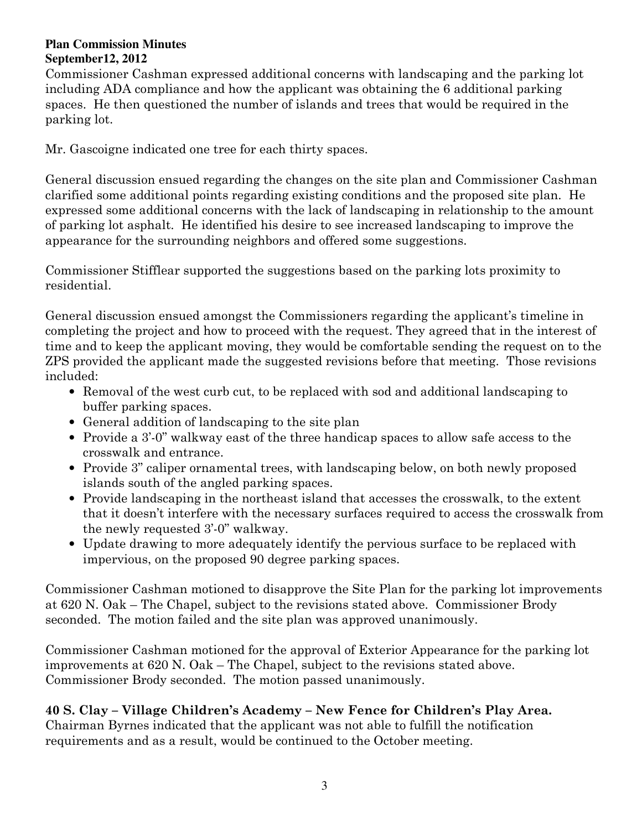#### **Plan Commission Minutes September12, 2012**

Commissioner Cashman expressed additional concerns with landscaping and the parking lot including ADA compliance and how the applicant was obtaining the 6 additional parking spaces. He then questioned the number of islands and trees that would be required in the parking lot.

Mr. Gascoigne indicated one tree for each thirty spaces.

General discussion ensued regarding the changes on the site plan and Commissioner Cashman clarified some additional points regarding existing conditions and the proposed site plan. He expressed some additional concerns with the lack of landscaping in relationship to the amount of parking lot asphalt. He identified his desire to see increased landscaping to improve the appearance for the surrounding neighbors and offered some suggestions.

Commissioner Stifflear supported the suggestions based on the parking lots proximity to residential.

General discussion ensued amongst the Commissioners regarding the applicant's timeline in completing the project and how to proceed with the request. They agreed that in the interest of time and to keep the applicant moving, they would be comfortable sending the request on to the ZPS provided the applicant made the suggested revisions before that meeting. Those revisions included:

- Removal of the west curb cut, to be replaced with sod and additional landscaping to buffer parking spaces.
- General addition of landscaping to the site plan
- Provide a 3'-0" walkway east of the three handicap spaces to allow safe access to the crosswalk and entrance.
- Provide 3" caliper ornamental trees, with landscaping below, on both newly proposed islands south of the angled parking spaces.
- Provide landscaping in the northeast island that accesses the crosswalk, to the extent that it doesn't interfere with the necessary surfaces required to access the crosswalk from the newly requested 3'-0" walkway.
- Update drawing to more adequately identify the pervious surface to be replaced with impervious, on the proposed 90 degree parking spaces.

Commissioner Cashman motioned to disapprove the Site Plan for the parking lot improvements at 620 N. Oak – The Chapel, subject to the revisions stated above. Commissioner Brody seconded. The motion failed and the site plan was approved unanimously.

Commissioner Cashman motioned for the approval of Exterior Appearance for the parking lot improvements at 620 N. Oak – The Chapel, subject to the revisions stated above. Commissioner Brody seconded. The motion passed unanimously.

40 S. Clay – Village Children's Academy – New Fence for Children's Play Area. Chairman Byrnes indicated that the applicant was not able to fulfill the notification requirements and as a result, would be continued to the October meeting.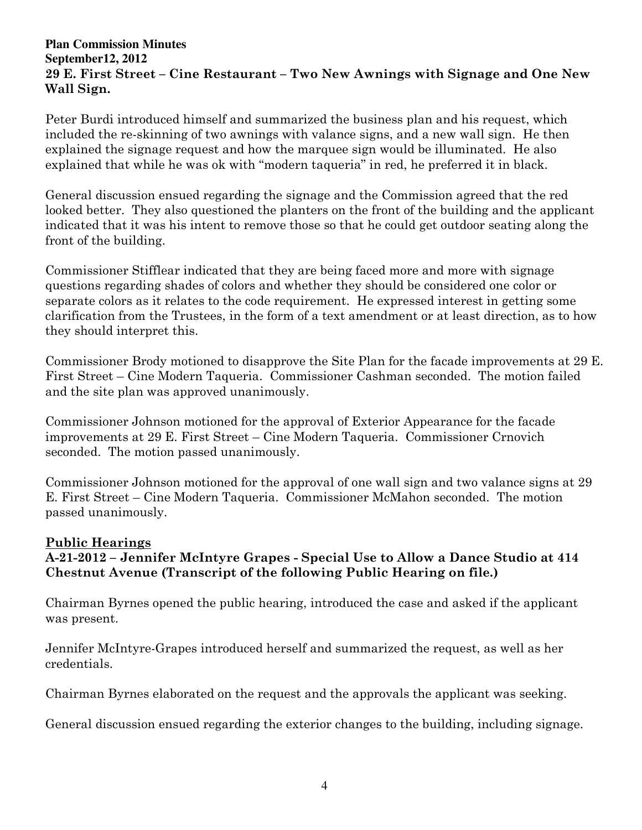#### **Plan Commission Minutes September12, 2012**  29 E. First Street – Cine Restaurant – Two New Awnings with Signage and One New Wall Sign.

Peter Burdi introduced himself and summarized the business plan and his request, which included the re-skinning of two awnings with valance signs, and a new wall sign. He then explained the signage request and how the marquee sign would be illuminated. He also explained that while he was ok with "modern taqueria" in red, he preferred it in black.

General discussion ensued regarding the signage and the Commission agreed that the red looked better. They also questioned the planters on the front of the building and the applicant indicated that it was his intent to remove those so that he could get outdoor seating along the front of the building.

Commissioner Stifflear indicated that they are being faced more and more with signage questions regarding shades of colors and whether they should be considered one color or separate colors as it relates to the code requirement. He expressed interest in getting some clarification from the Trustees, in the form of a text amendment or at least direction, as to how they should interpret this.

Commissioner Brody motioned to disapprove the Site Plan for the facade improvements at 29 E. First Street – Cine Modern Taqueria. Commissioner Cashman seconded. The motion failed and the site plan was approved unanimously.

Commissioner Johnson motioned for the approval of Exterior Appearance for the facade improvements at 29 E. First Street – Cine Modern Taqueria. Commissioner Crnovich seconded. The motion passed unanimously.

Commissioner Johnson motioned for the approval of one wall sign and two valance signs at 29 E. First Street – Cine Modern Taqueria. Commissioner McMahon seconded. The motion passed unanimously.

### Public Hearings

# A-21-2012 – Jennifer McIntyre Grapes - Special Use to Allow a Dance Studio at 414 Chestnut Avenue (Transcript of the following Public Hearing on file.)

Chairman Byrnes opened the public hearing, introduced the case and asked if the applicant was present.

Jennifer McIntyre-Grapes introduced herself and summarized the request, as well as her credentials.

Chairman Byrnes elaborated on the request and the approvals the applicant was seeking.

General discussion ensued regarding the exterior changes to the building, including signage.